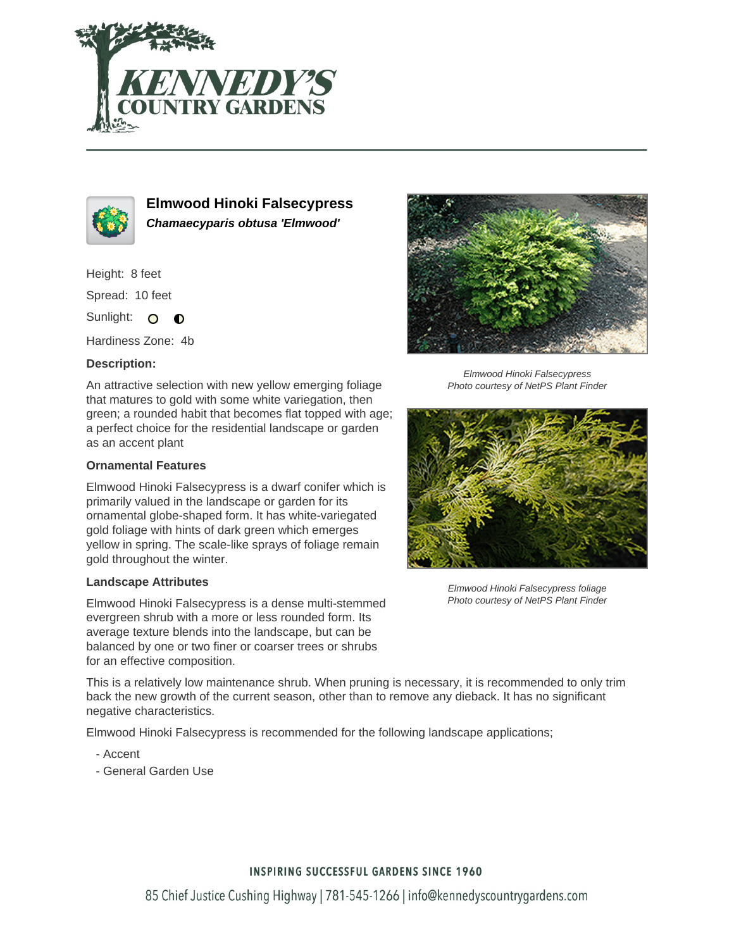



**Elmwood Hinoki Falsecypress Chamaecyparis obtusa 'Elmwood'**

Height: 8 feet

Spread: 10 feet

Sunlight: O  $\bullet$ 

Hardiness Zone: 4b

## **Description:**

An attractive selection with new yellow emerging foliage that matures to gold with some white variegation, then green; a rounded habit that becomes flat topped with age; a perfect choice for the residential landscape or garden as an accent plant

## **Ornamental Features**

Elmwood Hinoki Falsecypress is a dwarf conifer which is primarily valued in the landscape or garden for its ornamental globe-shaped form. It has white-variegated gold foliage with hints of dark green which emerges yellow in spring. The scale-like sprays of foliage remain gold throughout the winter.

#### **Landscape Attributes**

Elmwood Hinoki Falsecypress is a dense multi-stemmed evergreen shrub with a more or less rounded form. Its average texture blends into the landscape, but can be balanced by one or two finer or coarser trees or shrubs for an effective composition.

Elmwood Hinoki Falsecypress Photo courtesy of NetPS Plant Finder



Elmwood Hinoki Falsecypress foliage Photo courtesy of NetPS Plant Finder

This is a relatively low maintenance shrub. When pruning is necessary, it is recommended to only trim back the new growth of the current season, other than to remove any dieback. It has no significant negative characteristics.

Elmwood Hinoki Falsecypress is recommended for the following landscape applications;

- Accent
- General Garden Use

## **INSPIRING SUCCESSFUL GARDENS SINCE 1960**

85 Chief Justice Cushing Highway | 781-545-1266 | info@kennedyscountrygardens.com